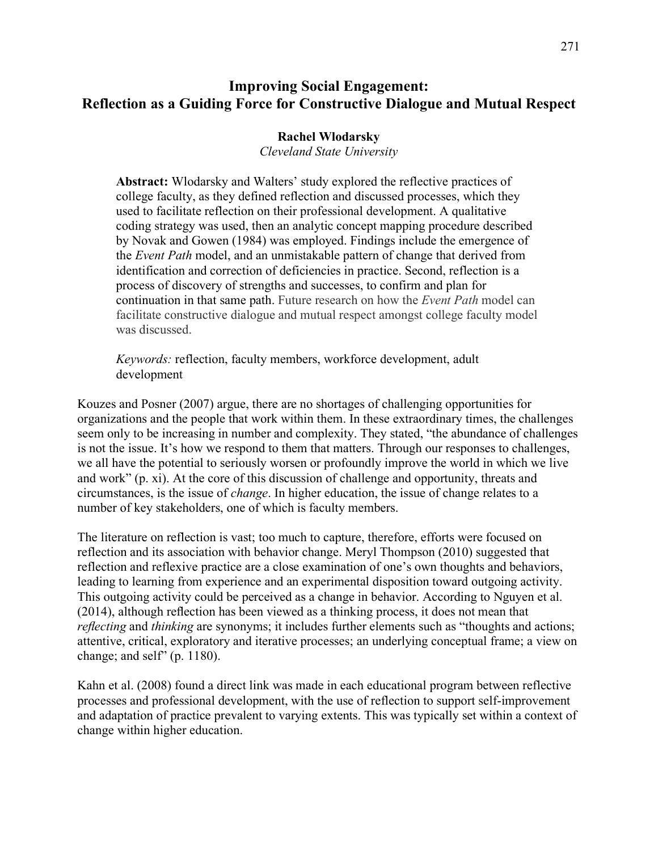# **Improving Social Engagement: Reflection as a Guiding Force for Constructive Dialogue and Mutual Respect**

# **Rachel Wlodarsky**

*Cleveland State University*

**Abstract:** Wlodarsky and Walters' study explored the reflective practices of college faculty, as they defined reflection and discussed processes, which they used to facilitate reflection on their professional development. A qualitative coding strategy was used, then an analytic concept mapping procedure described by Novak and Gowen (1984) was employed. Findings include the emergence of the *Event Path* model, and an unmistakable pattern of change that derived from identification and correction of deficiencies in practice. Second, reflection is a process of discovery of strengths and successes, to confirm and plan for continuation in that same path. Future research on how the *Event Path* model can facilitate constructive dialogue and mutual respect amongst college faculty model was discussed.

*Keywords:* reflection, faculty members, workforce development, adult development

Kouzes and Posner (2007) argue, there are no shortages of challenging opportunities for organizations and the people that work within them. In these extraordinary times, the challenges seem only to be increasing in number and complexity. They stated, "the abundance of challenges is not the issue. It's how we respond to them that matters. Through our responses to challenges, we all have the potential to seriously worsen or profoundly improve the world in which we live and work" (p. xi). At the core of this discussion of challenge and opportunity, threats and circumstances, is the issue of *change*. In higher education, the issue of change relates to a number of key stakeholders, one of which is faculty members.

The literature on reflection is vast; too much to capture, therefore, efforts were focused on reflection and its association with behavior change. Meryl Thompson (2010) suggested that reflection and reflexive practice are a close examination of one's own thoughts and behaviors, leading to learning from experience and an experimental disposition toward outgoing activity. This outgoing activity could be perceived as a change in behavior. According to Nguyen et al. (2014), although reflection has been viewed as a thinking process, it does not mean that *reflecting* and *thinking* are synonyms; it includes further elements such as "thoughts and actions; attentive, critical, exploratory and iterative processes; an underlying conceptual frame; a view on change; and self" (p. 1180).

Kahn et al. (2008) found a direct link was made in each educational program between reflective processes and professional development, with the use of reflection to support self-improvement and adaptation of practice prevalent to varying extents. This was typically set within a context of change within higher education.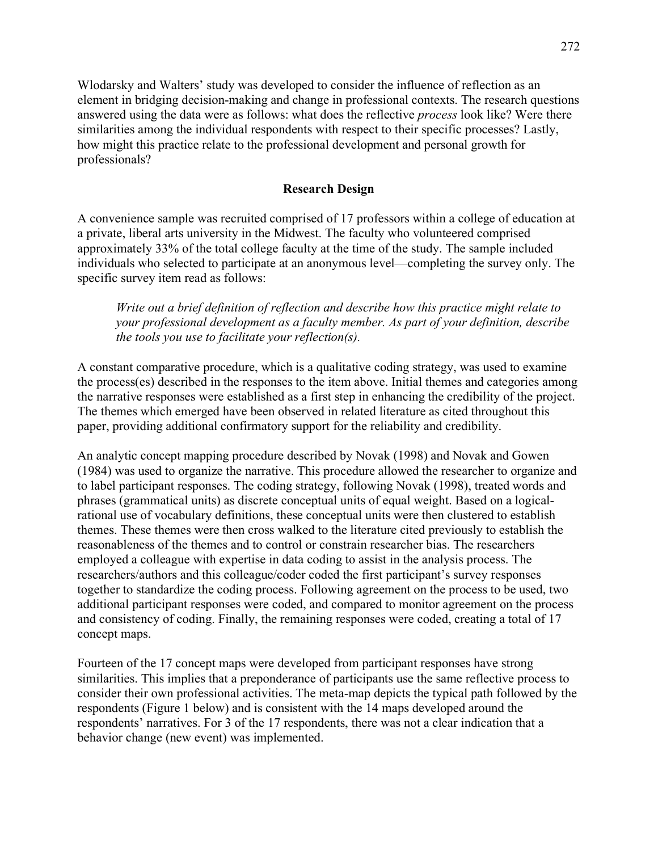Wlodarsky and Walters' study was developed to consider the influence of reflection as an element in bridging decision-making and change in professional contexts. The research questions answered using the data were as follows: what does the reflective *process* look like? Were there similarities among the individual respondents with respect to their specific processes? Lastly, how might this practice relate to the professional development and personal growth for professionals?

# **Research Design**

A convenience sample was recruited comprised of 17 professors within a college of education at a private, liberal arts university in the Midwest. The faculty who volunteered comprised approximately 33% of the total college faculty at the time of the study. The sample included individuals who selected to participate at an anonymous level—completing the survey only. The specific survey item read as follows:

*Write out a brief definition of reflection and describe how this practice might relate to your professional development as a faculty member. As part of your definition, describe the tools you use to facilitate your reflection(s).* 

A constant comparative procedure, which is a qualitative coding strategy, was used to examine the process(es) described in the responses to the item above. Initial themes and categories among the narrative responses were established as a first step in enhancing the credibility of the project. The themes which emerged have been observed in related literature as cited throughout this paper, providing additional confirmatory support for the reliability and credibility.

An analytic concept mapping procedure described by Novak (1998) and Novak and Gowen (1984) was used to organize the narrative. This procedure allowed the researcher to organize and to label participant responses. The coding strategy, following Novak (1998), treated words and phrases (grammatical units) as discrete conceptual units of equal weight. Based on a logicalrational use of vocabulary definitions, these conceptual units were then clustered to establish themes. These themes were then cross walked to the literature cited previously to establish the reasonableness of the themes and to control or constrain researcher bias. The researchers employed a colleague with expertise in data coding to assist in the analysis process. The researchers/authors and this colleague/coder coded the first participant's survey responses together to standardize the coding process. Following agreement on the process to be used, two additional participant responses were coded, and compared to monitor agreement on the process and consistency of coding. Finally, the remaining responses were coded, creating a total of 17 concept maps.

Fourteen of the 17 concept maps were developed from participant responses have strong similarities. This implies that a preponderance of participants use the same reflective process to consider their own professional activities. The meta-map depicts the typical path followed by the respondents (Figure 1 below) and is consistent with the 14 maps developed around the respondents' narratives. For 3 of the 17 respondents, there was not a clear indication that a behavior change (new event) was implemented.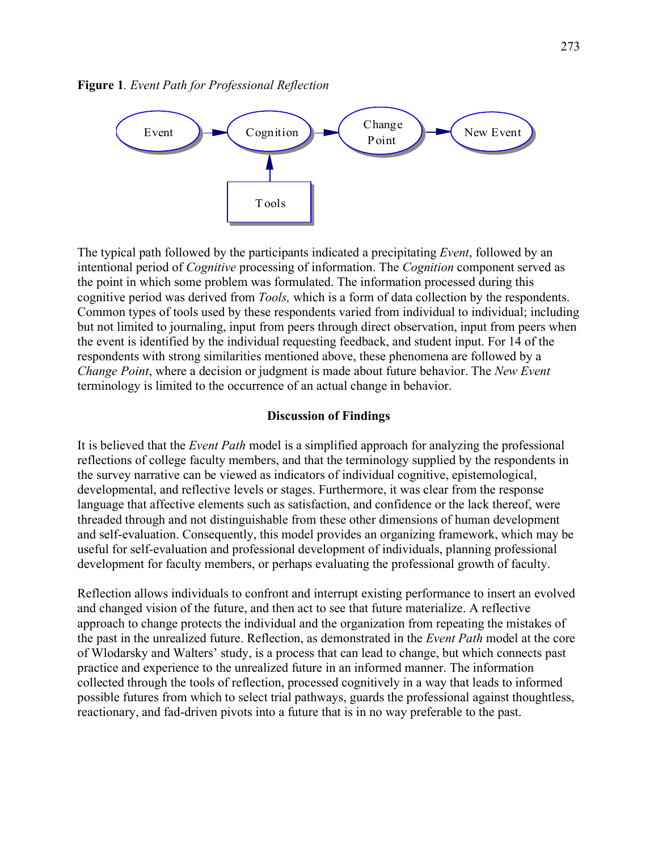**Figure 1***. Event Path for Professional Reflection*



The typical path followed by the participants indicated a precipitating *Event*, followed by an intentional period of *Cognitive* processing of information. The *Cognition* component served as the point in which some problem was formulated. The information processed during this cognitive period was derived from *Tools,* which is a form of data collection by the respondents. Common types of tools used by these respondents varied from individual to individual; including but not limited to journaling, input from peers through direct observation, input from peers when the event is identified by the individual requesting feedback, and student input. For 14 of the respondents with strong similarities mentioned above, these phenomena are followed by a *Change Point*, where a decision or judgment is made about future behavior. The *New Event* terminology is limited to the occurrence of an actual change in behavior.

## **Discussion of Findings**

It is believed that the *Event Path* model is a simplified approach for analyzing the professional reflections of college faculty members, and that the terminology supplied by the respondents in the survey narrative can be viewed as indicators of individual cognitive, epistemological, developmental, and reflective levels or stages. Furthermore, it was clear from the response language that affective elements such as satisfaction, and confidence or the lack thereof, were threaded through and not distinguishable from these other dimensions of human development and self-evaluation. Consequently, this model provides an organizing framework, which may be useful for self-evaluation and professional development of individuals, planning professional development for faculty members, or perhaps evaluating the professional growth of faculty.

Reflection allows individuals to confront and interrupt existing performance to insert an evolved and changed vision of the future, and then act to see that future materialize. A reflective approach to change protects the individual and the organization from repeating the mistakes of the past in the unrealized future. Reflection, as demonstrated in the *Event Path* model at the core of Wlodarsky and Walters' study, is a process that can lead to change, but which connects past practice and experience to the unrealized future in an informed manner. The information collected through the tools of reflection, processed cognitively in a way that leads to informed possible futures from which to select trial pathways, guards the professional against thoughtless, reactionary, and fad-driven pivots into a future that is in no way preferable to the past.